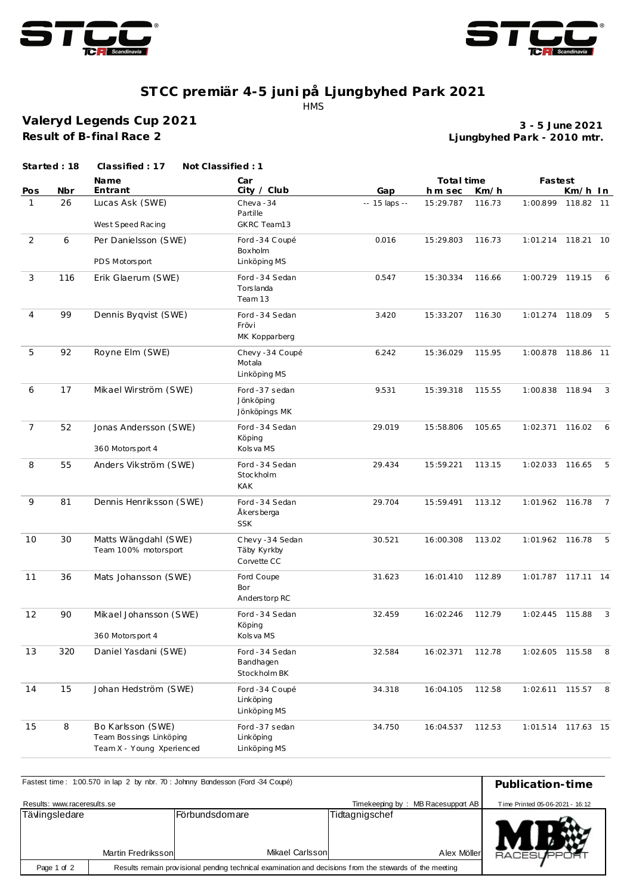



## **ST CC premiär 4-5 juni på Ljungbyhed Park 2021** HMS

**Valeryd Legends Cup 2021 Result of B-final Race 2**

**Ljungbyhed Park - 2010 mtr. 3 - 5 June 2021**

| Name<br>Car<br>Total time<br>Fastest<br>City / Club<br>Entrant<br>Nbr<br>Gap<br>Km/h<br>Km/h In<br>Pos<br>h m sec<br>26<br>Lucas Ask (SWE)<br>$\mathbf{1}$<br>Cheva-34<br>1:00.899<br>-- 15 laps --<br>15:29.787<br>116.73<br>118.82 11<br>Partille<br>West Speed Racing<br>GKRC Team13<br>$\overline{2}$<br>6<br>Per Danielsson (SWE)<br>Ford -34 Coupé<br>0.016<br>15:29.803<br>116.73<br>1:01.214 118.21 10<br>Boxholm<br>PDS Motorsport<br>Linköping MS<br>3<br>116<br>Erik Glaerum (SWE)<br>Ford - 34 Sedan<br>0.547<br>15:30.334<br>116.66<br>1:00.729 119.15<br>6<br>Tors landa<br>Team 13<br>99<br>Dennis Byqvist (SWE)<br>$\overline{4}$<br>Ford - 34 Sedan<br>3.420<br>15:33.207<br>116.30<br>1:01.274<br>118.09<br>- 5<br>Frövi<br>MK Kopparberg<br>5<br>92<br>Royne Elm (SWE)<br>Chevy-34 Coupé<br>6.242<br>15:36.029<br>115.95<br>1:00.878 118.86 11<br>Motala<br>Linköping MS<br>17<br>6<br>Mikael Wirström (SWE)<br>Ford -37 sedan<br>9.531<br>1:00.838 118.94<br>3<br>15:39.318<br>115.55<br>Jönköping<br>Jönköpings MK<br>$\overline{7}$<br>52<br>Jonas Andersson (SWE)<br>Ford - 34 Sedan<br>29.019<br>15:58.806<br>105.65<br>1:02.371 116.02<br>6<br>Köping<br>360 Motorsport 4<br>Kols va MS<br>8<br>55<br>Anders Vikström (SWE)<br>Ford - 34 Sedan<br>15:59.221<br>1:02.033 116.65<br>5<br>29.434<br>113.15<br>Stockholm<br><b>KAK</b><br>9<br>81<br>Dennis Henriksson (SWE)<br>Ford - 34 Sedan<br>29.704<br>15:59.491<br>113.12<br>1:01.962 116.78<br>$\overline{7}$<br>Åkersberga<br><b>SSK</b><br>30<br>10<br>Matts Wängdahl (SWE)<br>Chevy-34 Sedan<br>30.521<br>16:00.308<br>113.02<br>1:01.962 116.78<br>5<br>Team 100% motorsport<br>Täby Kyrkby<br>Corvette CC<br>11<br>36<br>Mats Johansson (SWE)<br>Ford Coupe<br>31.623<br>1:01.787 117.11 14<br>16:01.410<br>112.89<br>Bor<br>Anderstorp RC<br>12<br>90<br>Mikael Johansson (SWE)<br>Ford - 34 Sedan<br>32.459<br>16:02.246<br>112.79<br>1:02.445<br>115.88<br>$\overline{3}$<br>Köping<br>360 Motorsport 4<br>Kols va MS<br>320<br>13<br>Daniel Yasdani (SWE)<br>Ford - 34 Sedan<br>32.584<br>112.78<br>16:02.371<br>1:02.605 115.58<br>- 8<br>Bandhagen<br>Stockholm BK<br>14<br>15<br>Johan Hedström (SWE)<br>Ford -34 Coupé<br>34.318<br>1:02.611 115.57<br>8<br>16:04.105<br>112.58<br>Linköping<br>Linköping MS<br>15<br>8<br>Bo Karlsson (SWE)<br>Ford -37 sedan<br>34.750<br>16:04.537<br>112.53<br>1:01.514 117.63 15<br>Team Bossings Linköping<br>Linköping | Started: 18 | Classified: 17 | Not Classified: 1 |  |  |  |
|---------------------------------------------------------------------------------------------------------------------------------------------------------------------------------------------------------------------------------------------------------------------------------------------------------------------------------------------------------------------------------------------------------------------------------------------------------------------------------------------------------------------------------------------------------------------------------------------------------------------------------------------------------------------------------------------------------------------------------------------------------------------------------------------------------------------------------------------------------------------------------------------------------------------------------------------------------------------------------------------------------------------------------------------------------------------------------------------------------------------------------------------------------------------------------------------------------------------------------------------------------------------------------------------------------------------------------------------------------------------------------------------------------------------------------------------------------------------------------------------------------------------------------------------------------------------------------------------------------------------------------------------------------------------------------------------------------------------------------------------------------------------------------------------------------------------------------------------------------------------------------------------------------------------------------------------------------------------------------------------------------------------------------------------------------------------------------------------------------------------------------------------------------------------------------------------------------------------------------------------------------------------------------------------------------------------------------------------------------------------------------------------------------------------------------------------------------|-------------|----------------|-------------------|--|--|--|
|                                                                                                                                                                                                                                                                                                                                                                                                                                                                                                                                                                                                                                                                                                                                                                                                                                                                                                                                                                                                                                                                                                                                                                                                                                                                                                                                                                                                                                                                                                                                                                                                                                                                                                                                                                                                                                                                                                                                                                                                                                                                                                                                                                                                                                                                                                                                                                                                                                                         |             |                |                   |  |  |  |
|                                                                                                                                                                                                                                                                                                                                                                                                                                                                                                                                                                                                                                                                                                                                                                                                                                                                                                                                                                                                                                                                                                                                                                                                                                                                                                                                                                                                                                                                                                                                                                                                                                                                                                                                                                                                                                                                                                                                                                                                                                                                                                                                                                                                                                                                                                                                                                                                                                                         |             |                |                   |  |  |  |
|                                                                                                                                                                                                                                                                                                                                                                                                                                                                                                                                                                                                                                                                                                                                                                                                                                                                                                                                                                                                                                                                                                                                                                                                                                                                                                                                                                                                                                                                                                                                                                                                                                                                                                                                                                                                                                                                                                                                                                                                                                                                                                                                                                                                                                                                                                                                                                                                                                                         |             |                |                   |  |  |  |
|                                                                                                                                                                                                                                                                                                                                                                                                                                                                                                                                                                                                                                                                                                                                                                                                                                                                                                                                                                                                                                                                                                                                                                                                                                                                                                                                                                                                                                                                                                                                                                                                                                                                                                                                                                                                                                                                                                                                                                                                                                                                                                                                                                                                                                                                                                                                                                                                                                                         |             |                |                   |  |  |  |
|                                                                                                                                                                                                                                                                                                                                                                                                                                                                                                                                                                                                                                                                                                                                                                                                                                                                                                                                                                                                                                                                                                                                                                                                                                                                                                                                                                                                                                                                                                                                                                                                                                                                                                                                                                                                                                                                                                                                                                                                                                                                                                                                                                                                                                                                                                                                                                                                                                                         |             |                |                   |  |  |  |
|                                                                                                                                                                                                                                                                                                                                                                                                                                                                                                                                                                                                                                                                                                                                                                                                                                                                                                                                                                                                                                                                                                                                                                                                                                                                                                                                                                                                                                                                                                                                                                                                                                                                                                                                                                                                                                                                                                                                                                                                                                                                                                                                                                                                                                                                                                                                                                                                                                                         |             |                |                   |  |  |  |
|                                                                                                                                                                                                                                                                                                                                                                                                                                                                                                                                                                                                                                                                                                                                                                                                                                                                                                                                                                                                                                                                                                                                                                                                                                                                                                                                                                                                                                                                                                                                                                                                                                                                                                                                                                                                                                                                                                                                                                                                                                                                                                                                                                                                                                                                                                                                                                                                                                                         |             |                |                   |  |  |  |
|                                                                                                                                                                                                                                                                                                                                                                                                                                                                                                                                                                                                                                                                                                                                                                                                                                                                                                                                                                                                                                                                                                                                                                                                                                                                                                                                                                                                                                                                                                                                                                                                                                                                                                                                                                                                                                                                                                                                                                                                                                                                                                                                                                                                                                                                                                                                                                                                                                                         |             |                |                   |  |  |  |
|                                                                                                                                                                                                                                                                                                                                                                                                                                                                                                                                                                                                                                                                                                                                                                                                                                                                                                                                                                                                                                                                                                                                                                                                                                                                                                                                                                                                                                                                                                                                                                                                                                                                                                                                                                                                                                                                                                                                                                                                                                                                                                                                                                                                                                                                                                                                                                                                                                                         |             |                |                   |  |  |  |
|                                                                                                                                                                                                                                                                                                                                                                                                                                                                                                                                                                                                                                                                                                                                                                                                                                                                                                                                                                                                                                                                                                                                                                                                                                                                                                                                                                                                                                                                                                                                                                                                                                                                                                                                                                                                                                                                                                                                                                                                                                                                                                                                                                                                                                                                                                                                                                                                                                                         |             |                |                   |  |  |  |
|                                                                                                                                                                                                                                                                                                                                                                                                                                                                                                                                                                                                                                                                                                                                                                                                                                                                                                                                                                                                                                                                                                                                                                                                                                                                                                                                                                                                                                                                                                                                                                                                                                                                                                                                                                                                                                                                                                                                                                                                                                                                                                                                                                                                                                                                                                                                                                                                                                                         |             |                |                   |  |  |  |
|                                                                                                                                                                                                                                                                                                                                                                                                                                                                                                                                                                                                                                                                                                                                                                                                                                                                                                                                                                                                                                                                                                                                                                                                                                                                                                                                                                                                                                                                                                                                                                                                                                                                                                                                                                                                                                                                                                                                                                                                                                                                                                                                                                                                                                                                                                                                                                                                                                                         |             |                |                   |  |  |  |
|                                                                                                                                                                                                                                                                                                                                                                                                                                                                                                                                                                                                                                                                                                                                                                                                                                                                                                                                                                                                                                                                                                                                                                                                                                                                                                                                                                                                                                                                                                                                                                                                                                                                                                                                                                                                                                                                                                                                                                                                                                                                                                                                                                                                                                                                                                                                                                                                                                                         |             |                |                   |  |  |  |
|                                                                                                                                                                                                                                                                                                                                                                                                                                                                                                                                                                                                                                                                                                                                                                                                                                                                                                                                                                                                                                                                                                                                                                                                                                                                                                                                                                                                                                                                                                                                                                                                                                                                                                                                                                                                                                                                                                                                                                                                                                                                                                                                                                                                                                                                                                                                                                                                                                                         |             |                |                   |  |  |  |
|                                                                                                                                                                                                                                                                                                                                                                                                                                                                                                                                                                                                                                                                                                                                                                                                                                                                                                                                                                                                                                                                                                                                                                                                                                                                                                                                                                                                                                                                                                                                                                                                                                                                                                                                                                                                                                                                                                                                                                                                                                                                                                                                                                                                                                                                                                                                                                                                                                                         |             |                |                   |  |  |  |
|                                                                                                                                                                                                                                                                                                                                                                                                                                                                                                                                                                                                                                                                                                                                                                                                                                                                                                                                                                                                                                                                                                                                                                                                                                                                                                                                                                                                                                                                                                                                                                                                                                                                                                                                                                                                                                                                                                                                                                                                                                                                                                                                                                                                                                                                                                                                                                                                                                                         |             |                |                   |  |  |  |
|                                                                                                                                                                                                                                                                                                                                                                                                                                                                                                                                                                                                                                                                                                                                                                                                                                                                                                                                                                                                                                                                                                                                                                                                                                                                                                                                                                                                                                                                                                                                                                                                                                                                                                                                                                                                                                                                                                                                                                                                                                                                                                                                                                                                                                                                                                                                                                                                                                                         |             |                |                   |  |  |  |
|                                                                                                                                                                                                                                                                                                                                                                                                                                                                                                                                                                                                                                                                                                                                                                                                                                                                                                                                                                                                                                                                                                                                                                                                                                                                                                                                                                                                                                                                                                                                                                                                                                                                                                                                                                                                                                                                                                                                                                                                                                                                                                                                                                                                                                                                                                                                                                                                                                                         |             |                |                   |  |  |  |
|                                                                                                                                                                                                                                                                                                                                                                                                                                                                                                                                                                                                                                                                                                                                                                                                                                                                                                                                                                                                                                                                                                                                                                                                                                                                                                                                                                                                                                                                                                                                                                                                                                                                                                                                                                                                                                                                                                                                                                                                                                                                                                                                                                                                                                                                                                                                                                                                                                                         |             |                |                   |  |  |  |
|                                                                                                                                                                                                                                                                                                                                                                                                                                                                                                                                                                                                                                                                                                                                                                                                                                                                                                                                                                                                                                                                                                                                                                                                                                                                                                                                                                                                                                                                                                                                                                                                                                                                                                                                                                                                                                                                                                                                                                                                                                                                                                                                                                                                                                                                                                                                                                                                                                                         |             |                |                   |  |  |  |
|                                                                                                                                                                                                                                                                                                                                                                                                                                                                                                                                                                                                                                                                                                                                                                                                                                                                                                                                                                                                                                                                                                                                                                                                                                                                                                                                                                                                                                                                                                                                                                                                                                                                                                                                                                                                                                                                                                                                                                                                                                                                                                                                                                                                                                                                                                                                                                                                                                                         |             |                |                   |  |  |  |
|                                                                                                                                                                                                                                                                                                                                                                                                                                                                                                                                                                                                                                                                                                                                                                                                                                                                                                                                                                                                                                                                                                                                                                                                                                                                                                                                                                                                                                                                                                                                                                                                                                                                                                                                                                                                                                                                                                                                                                                                                                                                                                                                                                                                                                                                                                                                                                                                                                                         |             |                |                   |  |  |  |
|                                                                                                                                                                                                                                                                                                                                                                                                                                                                                                                                                                                                                                                                                                                                                                                                                                                                                                                                                                                                                                                                                                                                                                                                                                                                                                                                                                                                                                                                                                                                                                                                                                                                                                                                                                                                                                                                                                                                                                                                                                                                                                                                                                                                                                                                                                                                                                                                                                                         |             |                |                   |  |  |  |
|                                                                                                                                                                                                                                                                                                                                                                                                                                                                                                                                                                                                                                                                                                                                                                                                                                                                                                                                                                                                                                                                                                                                                                                                                                                                                                                                                                                                                                                                                                                                                                                                                                                                                                                                                                                                                                                                                                                                                                                                                                                                                                                                                                                                                                                                                                                                                                                                                                                         |             |                |                   |  |  |  |
|                                                                                                                                                                                                                                                                                                                                                                                                                                                                                                                                                                                                                                                                                                                                                                                                                                                                                                                                                                                                                                                                                                                                                                                                                                                                                                                                                                                                                                                                                                                                                                                                                                                                                                                                                                                                                                                                                                                                                                                                                                                                                                                                                                                                                                                                                                                                                                                                                                                         |             |                |                   |  |  |  |
|                                                                                                                                                                                                                                                                                                                                                                                                                                                                                                                                                                                                                                                                                                                                                                                                                                                                                                                                                                                                                                                                                                                                                                                                                                                                                                                                                                                                                                                                                                                                                                                                                                                                                                                                                                                                                                                                                                                                                                                                                                                                                                                                                                                                                                                                                                                                                                                                                                                         |             |                |                   |  |  |  |
|                                                                                                                                                                                                                                                                                                                                                                                                                                                                                                                                                                                                                                                                                                                                                                                                                                                                                                                                                                                                                                                                                                                                                                                                                                                                                                                                                                                                                                                                                                                                                                                                                                                                                                                                                                                                                                                                                                                                                                                                                                                                                                                                                                                                                                                                                                                                                                                                                                                         |             |                |                   |  |  |  |
|                                                                                                                                                                                                                                                                                                                                                                                                                                                                                                                                                                                                                                                                                                                                                                                                                                                                                                                                                                                                                                                                                                                                                                                                                                                                                                                                                                                                                                                                                                                                                                                                                                                                                                                                                                                                                                                                                                                                                                                                                                                                                                                                                                                                                                                                                                                                                                                                                                                         |             |                |                   |  |  |  |
|                                                                                                                                                                                                                                                                                                                                                                                                                                                                                                                                                                                                                                                                                                                                                                                                                                                                                                                                                                                                                                                                                                                                                                                                                                                                                                                                                                                                                                                                                                                                                                                                                                                                                                                                                                                                                                                                                                                                                                                                                                                                                                                                                                                                                                                                                                                                                                                                                                                         |             |                |                   |  |  |  |
|                                                                                                                                                                                                                                                                                                                                                                                                                                                                                                                                                                                                                                                                                                                                                                                                                                                                                                                                                                                                                                                                                                                                                                                                                                                                                                                                                                                                                                                                                                                                                                                                                                                                                                                                                                                                                                                                                                                                                                                                                                                                                                                                                                                                                                                                                                                                                                                                                                                         |             |                |                   |  |  |  |
|                                                                                                                                                                                                                                                                                                                                                                                                                                                                                                                                                                                                                                                                                                                                                                                                                                                                                                                                                                                                                                                                                                                                                                                                                                                                                                                                                                                                                                                                                                                                                                                                                                                                                                                                                                                                                                                                                                                                                                                                                                                                                                                                                                                                                                                                                                                                                                                                                                                         |             |                |                   |  |  |  |
|                                                                                                                                                                                                                                                                                                                                                                                                                                                                                                                                                                                                                                                                                                                                                                                                                                                                                                                                                                                                                                                                                                                                                                                                                                                                                                                                                                                                                                                                                                                                                                                                                                                                                                                                                                                                                                                                                                                                                                                                                                                                                                                                                                                                                                                                                                                                                                                                                                                         |             |                |                   |  |  |  |
|                                                                                                                                                                                                                                                                                                                                                                                                                                                                                                                                                                                                                                                                                                                                                                                                                                                                                                                                                                                                                                                                                                                                                                                                                                                                                                                                                                                                                                                                                                                                                                                                                                                                                                                                                                                                                                                                                                                                                                                                                                                                                                                                                                                                                                                                                                                                                                                                                                                         |             |                |                   |  |  |  |
|                                                                                                                                                                                                                                                                                                                                                                                                                                                                                                                                                                                                                                                                                                                                                                                                                                                                                                                                                                                                                                                                                                                                                                                                                                                                                                                                                                                                                                                                                                                                                                                                                                                                                                                                                                                                                                                                                                                                                                                                                                                                                                                                                                                                                                                                                                                                                                                                                                                         |             |                |                   |  |  |  |
|                                                                                                                                                                                                                                                                                                                                                                                                                                                                                                                                                                                                                                                                                                                                                                                                                                                                                                                                                                                                                                                                                                                                                                                                                                                                                                                                                                                                                                                                                                                                                                                                                                                                                                                                                                                                                                                                                                                                                                                                                                                                                                                                                                                                                                                                                                                                                                                                                                                         |             |                |                   |  |  |  |
|                                                                                                                                                                                                                                                                                                                                                                                                                                                                                                                                                                                                                                                                                                                                                                                                                                                                                                                                                                                                                                                                                                                                                                                                                                                                                                                                                                                                                                                                                                                                                                                                                                                                                                                                                                                                                                                                                                                                                                                                                                                                                                                                                                                                                                                                                                                                                                                                                                                         |             |                |                   |  |  |  |
|                                                                                                                                                                                                                                                                                                                                                                                                                                                                                                                                                                                                                                                                                                                                                                                                                                                                                                                                                                                                                                                                                                                                                                                                                                                                                                                                                                                                                                                                                                                                                                                                                                                                                                                                                                                                                                                                                                                                                                                                                                                                                                                                                                                                                                                                                                                                                                                                                                                         |             |                |                   |  |  |  |
|                                                                                                                                                                                                                                                                                                                                                                                                                                                                                                                                                                                                                                                                                                                                                                                                                                                                                                                                                                                                                                                                                                                                                                                                                                                                                                                                                                                                                                                                                                                                                                                                                                                                                                                                                                                                                                                                                                                                                                                                                                                                                                                                                                                                                                                                                                                                                                                                                                                         |             |                |                   |  |  |  |
|                                                                                                                                                                                                                                                                                                                                                                                                                                                                                                                                                                                                                                                                                                                                                                                                                                                                                                                                                                                                                                                                                                                                                                                                                                                                                                                                                                                                                                                                                                                                                                                                                                                                                                                                                                                                                                                                                                                                                                                                                                                                                                                                                                                                                                                                                                                                                                                                                                                         |             |                |                   |  |  |  |
|                                                                                                                                                                                                                                                                                                                                                                                                                                                                                                                                                                                                                                                                                                                                                                                                                                                                                                                                                                                                                                                                                                                                                                                                                                                                                                                                                                                                                                                                                                                                                                                                                                                                                                                                                                                                                                                                                                                                                                                                                                                                                                                                                                                                                                                                                                                                                                                                                                                         |             |                |                   |  |  |  |
| Team X - Young Xperienced<br>Linköping MS                                                                                                                                                                                                                                                                                                                                                                                                                                                                                                                                                                                                                                                                                                                                                                                                                                                                                                                                                                                                                                                                                                                                                                                                                                                                                                                                                                                                                                                                                                                                                                                                                                                                                                                                                                                                                                                                                                                                                                                                                                                                                                                                                                                                                                                                                                                                                                                                               |             |                |                   |  |  |  |

| Fastest time: 1:00.570 in lap 2 by nbr. 70 : Johnny Bondesson (Ford -34 Coupé) | Publication-time                |                                           |                               |                |
|--------------------------------------------------------------------------------|---------------------------------|-------------------------------------------|-------------------------------|----------------|
| Results: www.raceresults.se                                                    | Time Printed 05-06-2021 - 16:12 |                                           |                               |                |
| Tävlingsledare                                                                 | Martin Fredriksson              | <b>IFörbundsdomare</b><br>Mikael Carlsson | Tidtagnigschef<br>Alex Möller | <b>RACESUF</b> |
| Page 1 of 2                                                                    |                                 |                                           |                               |                |